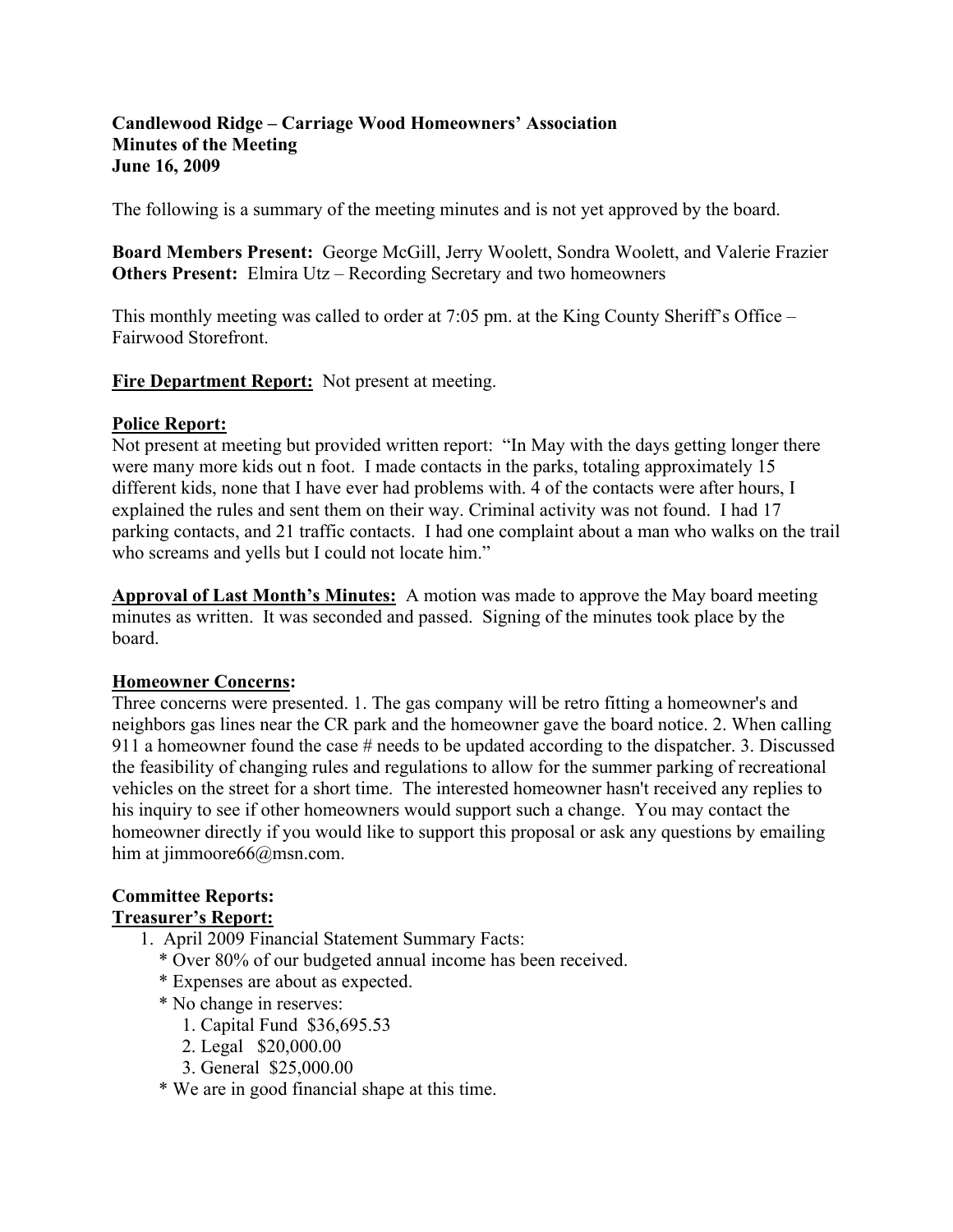#### **Candlewood Ridge – Carriage Wood Homeowners' Association Minutes of the Meeting June 16, 2009**

The following is a summary of the meeting minutes and is not yet approved by the board.

**Board Members Present:** George McGill, Jerry Woolett, Sondra Woolett, and Valerie Frazier **Others Present:** Elmira Utz – Recording Secretary and two homeowners

This monthly meeting was called to order at 7:05 pm. at the King County Sheriff's Office – Fairwood Storefront.

**Fire Department Report:** Not present at meeting.

#### **Police Report:**

Not present at meeting but provided written report: "In May with the days getting longer there were many more kids out n foot. I made contacts in the parks, totaling approximately 15 different kids, none that I have ever had problems with. 4 of the contacts were after hours, I explained the rules and sent them on their way. Criminal activity was not found. I had 17 parking contacts, and 21 traffic contacts. I had one complaint about a man who walks on the trail who screams and yells but I could not locate him."

**Approval of Last Month's Minutes:** A motion was made to approve the May board meeting minutes as written. It was seconded and passed. Signing of the minutes took place by the board.

## **Homeowner Concerns:**

Three concerns were presented. 1. The gas company will be retro fitting a homeowner's and neighbors gas lines near the CR park and the homeowner gave the board notice. 2. When calling 911 a homeowner found the case # needs to be updated according to the dispatcher. 3. Discussed the feasibility of changing rules and regulations to allow for the summer parking of recreational vehicles on the street for a short time. The interested homeowner hasn't received any replies to his inquiry to see if other homeowners would support such a change. You may contact the homeowner directly if you would like to support this proposal or ask any questions by emailing him at jimmoore66@msn.com.

## **Committee Reports:**

## **Treasurer's Report:**

- 1. April 2009 Financial Statement Summary Facts:
	- \* Over 80% of our budgeted annual income has been received.
	- \* Expenses are about as expected.
	- \* No change in reserves:
		- 1. Capital Fund \$36,695.53
		- 2. Legal \$20,000.00
		- 3. General \$25,000.00
	- \* We are in good financial shape at this time.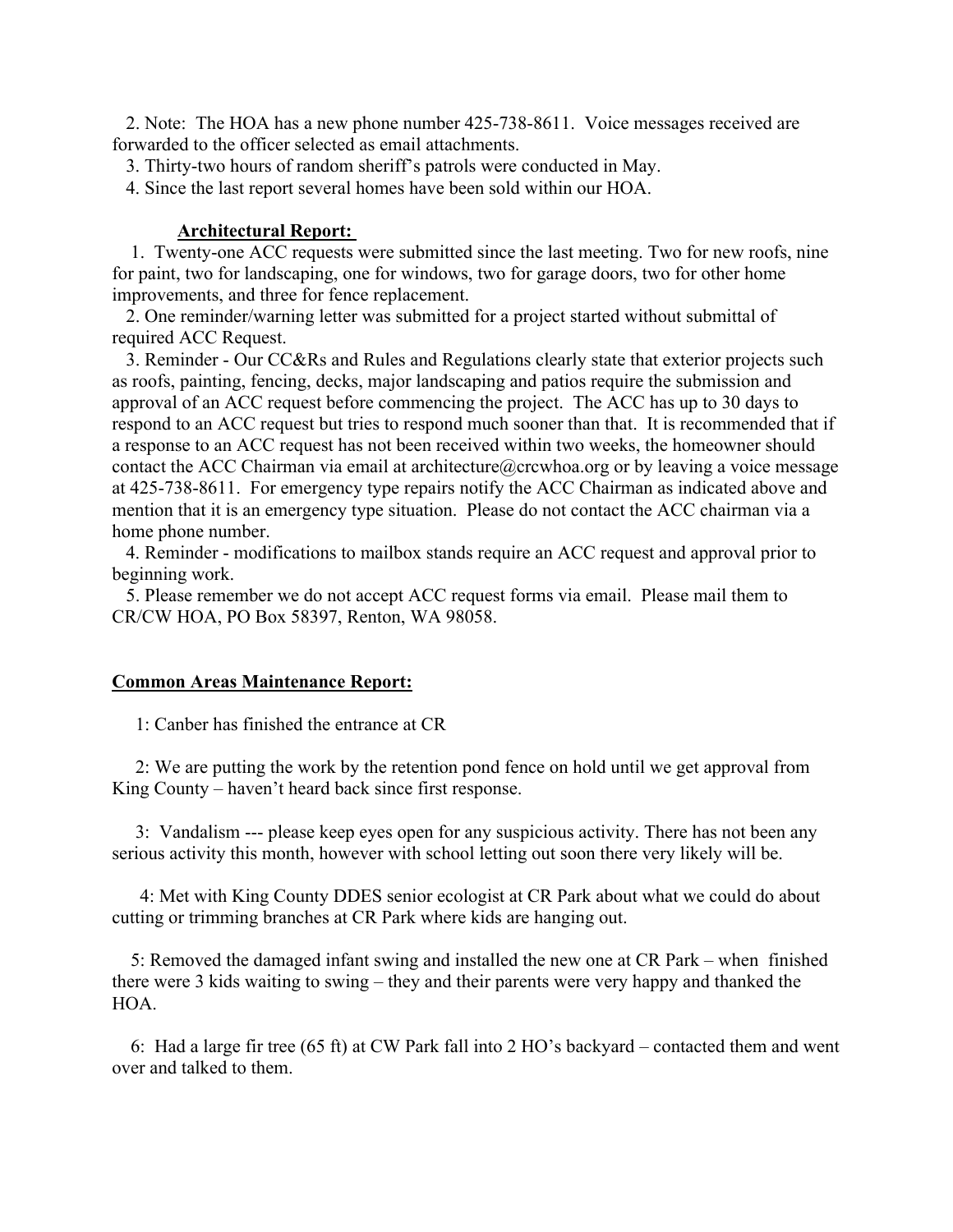2. Note: The HOA has a new phone number 425-738-8611. Voice messages received are forwarded to the officer selected as email attachments.

3. Thirty-two hours of random sheriff's patrols were conducted in May.

4. Since the last report several homes have been sold within our HOA.

#### **Architectural Report:**

 1. Twenty-one ACC requests were submitted since the last meeting. Two for new roofs, nine for paint, two for landscaping, one for windows, two for garage doors, two for other home improvements, and three for fence replacement.

 2. One reminder/warning letter was submitted for a project started without submittal of required ACC Request.

 3. Reminder - Our CC&Rs and Rules and Regulations clearly state that exterior projects such as roofs, painting, fencing, decks, major landscaping and patios require the submission and approval of an ACC request before commencing the project. The ACC has up to 30 days to respond to an ACC request but tries to respond much sooner than that. It is recommended that if a response to an ACC request has not been received within two weeks, the homeowner should contact the ACC Chairman via email at architecture  $@crcwhoa.org$  or by leaving a voice message at 425-738-8611. For emergency type repairs notify the ACC Chairman as indicated above and mention that it is an emergency type situation. Please do not contact the ACC chairman via a home phone number.

 4. Reminder - modifications to mailbox stands require an ACC request and approval prior to beginning work.

 5. Please remember we do not accept ACC request forms via email. Please mail them to CR/CW HOA, PO Box 58397, Renton, WA 98058.

#### **Common Areas Maintenance Report:**

1: Canber has finished the entrance at CR

 2: We are putting the work by the retention pond fence on hold until we get approval from King County – haven't heard back since first response.

 3: Vandalism --- please keep eyes open for any suspicious activity. There has not been any serious activity this month, however with school letting out soon there very likely will be.

 4: Met with King County DDES senior ecologist at CR Park about what we could do about cutting or trimming branches at CR Park where kids are hanging out.

 5: Removed the damaged infant swing and installed the new one at CR Park – when finished there were 3 kids waiting to swing – they and their parents were very happy and thanked the HOA.

 6: Had a large fir tree (65 ft) at CW Park fall into 2 HO's backyard – contacted them and went over and talked to them.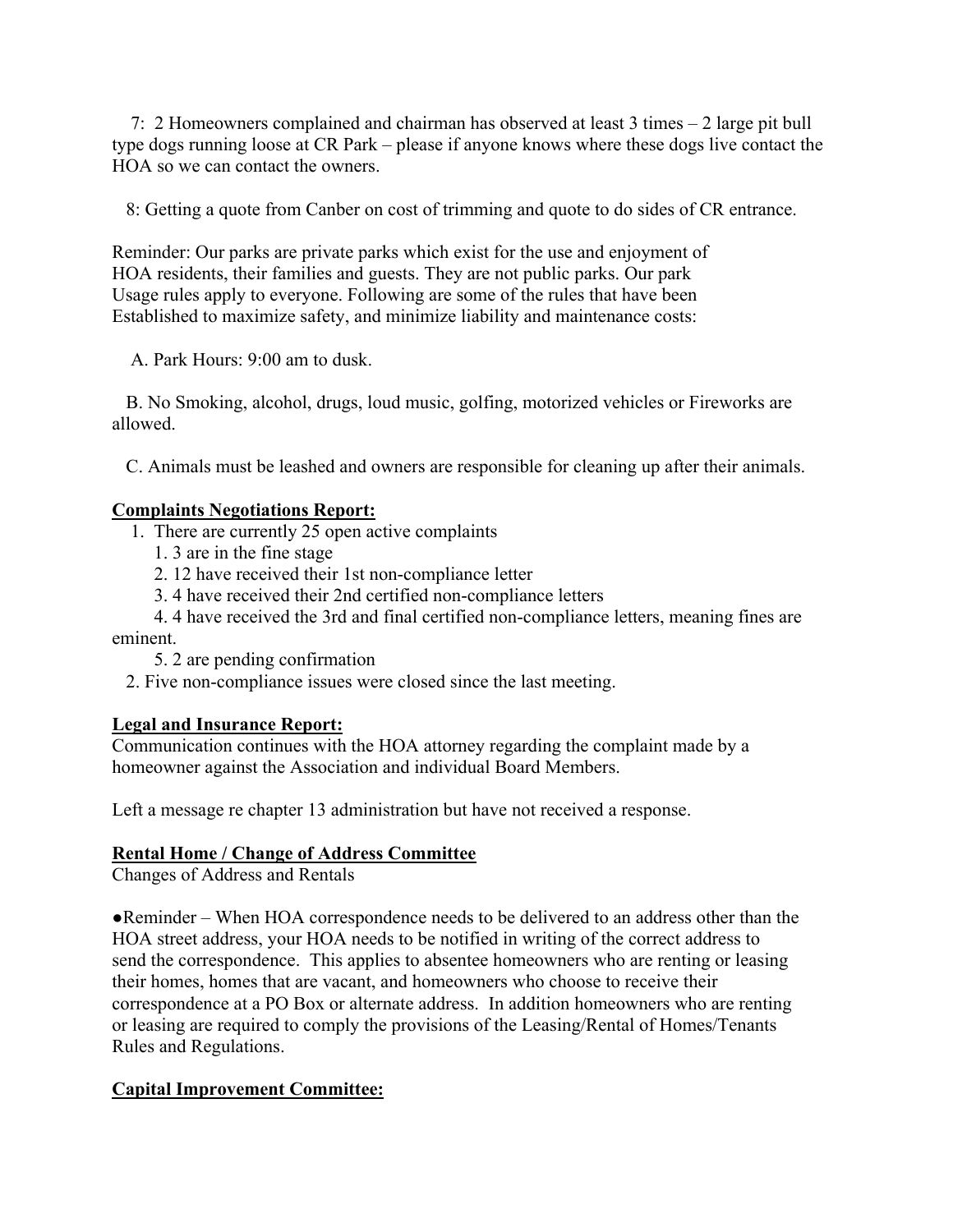7: 2 Homeowners complained and chairman has observed at least 3 times – 2 large pit bull type dogs running loose at CR Park – please if anyone knows where these dogs live contact the HOA so we can contact the owners.

8: Getting a quote from Canber on cost of trimming and quote to do sides of CR entrance.

Reminder: Our parks are private parks which exist for the use and enjoyment of HOA residents, their families and guests. They are not public parks. Our park Usage rules apply to everyone. Following are some of the rules that have been Established to maximize safety, and minimize liability and maintenance costs:

A. Park Hours: 9:00 am to dusk.

 B. No Smoking, alcohol, drugs, loud music, golfing, motorized vehicles or Fireworks are allowed.

C. Animals must be leashed and owners are responsible for cleaning up after their animals.

## **Complaints Negotiations Report:**

- 1. There are currently 25 open active complaints
	- 1. 3 are in the fine stage
	- 2. 12 have received their 1st non-compliance letter
	- 3. 4 have received their 2nd certified non-compliance letters
- 4. 4 have received the 3rd and final certified non-compliance letters, meaning fines are eminent.
	- 5. 2 are pending confirmation
	- 2. Five non-compliance issues were closed since the last meeting.

# **Legal and Insurance Report:**

Communication continues with the HOA attorney regarding the complaint made by a homeowner against the Association and individual Board Members.

Left a message re chapter 13 administration but have not received a response.

## **Rental Home / Change of Address Committee**

Changes of Address and Rentals

●Reminder – When HOA correspondence needs to be delivered to an address other than the HOA street address, your HOA needs to be notified in writing of the correct address to send the correspondence. This applies to absentee homeowners who are renting or leasing their homes, homes that are vacant, and homeowners who choose to receive their correspondence at a PO Box or alternate address. In addition homeowners who are renting or leasing are required to comply the provisions of the Leasing/Rental of Homes/Tenants Rules and Regulations.

# **Capital Improvement Committee:**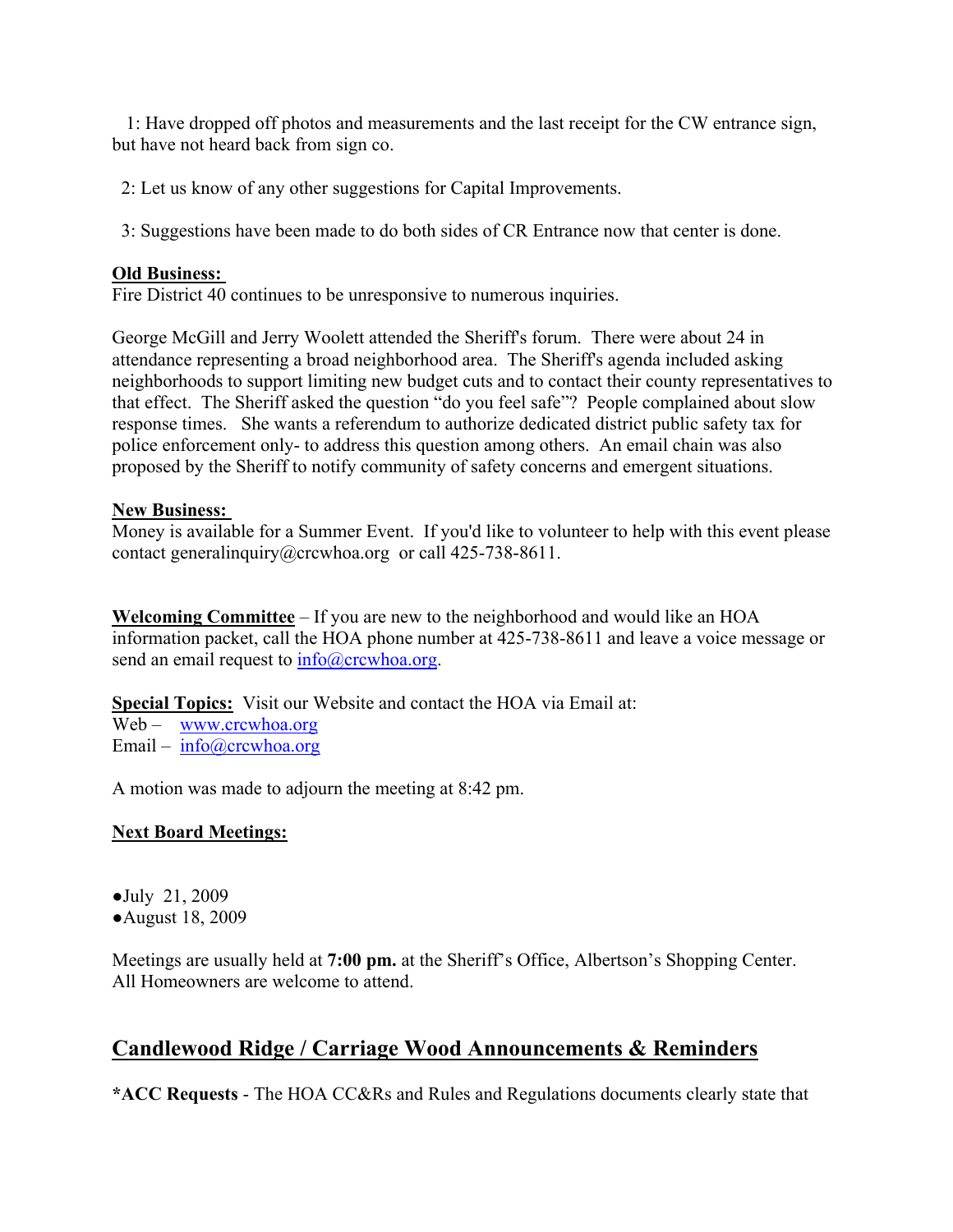1: Have dropped off photos and measurements and the last receipt for the CW entrance sign, but have not heard back from sign co.

2: Let us know of any other suggestions for Capital Improvements.

3: Suggestions have been made to do both sides of CR Entrance now that center is done.

## **Old Business:**

Fire District 40 continues to be unresponsive to numerous inquiries.

George McGill and Jerry Woolett attended the Sheriff's forum. There were about 24 in attendance representing a broad neighborhood area. The Sheriff's agenda included asking neighborhoods to support limiting new budget cuts and to contact their county representatives to that effect. The Sheriff asked the question "do you feel safe"? People complained about slow response times. She wants a referendum to authorize dedicated district public safety tax for police enforcement only- to address this question among others. An email chain was also proposed by the Sheriff to notify community of safety concerns and emergent situations.

## **New Business:**

Money is available for a Summer Event. If you'd like to volunteer to help with this event please contact generalinquiry@crcwhoa.org or call 425-738-8611.

**Welcoming Committee** – If you are new to the neighborhood and would like an HOA information packet, call the HOA phone number at 425-738-8611 and leave a voice message or send an email request to  $info@crcwhoa.org$ .

**Special Topics:** Visit our Website and contact the HOA via Email at:

Web – www.crcwhoa.org Email –  $info@crcwhoa.org$ 

A motion was made to adjourn the meeting at 8:42 pm.

## **Next Board Meetings:**

●July 21, 2009 ●August 18, 2009

Meetings are usually held at **7:00 pm.** at the Sheriff's Office, Albertson's Shopping Center. All Homeowners are welcome to attend.

# **Candlewood Ridge / Carriage Wood Announcements & Reminders**

**\*ACC Requests** - The HOA CC&Rs and Rules and Regulations documents clearly state that